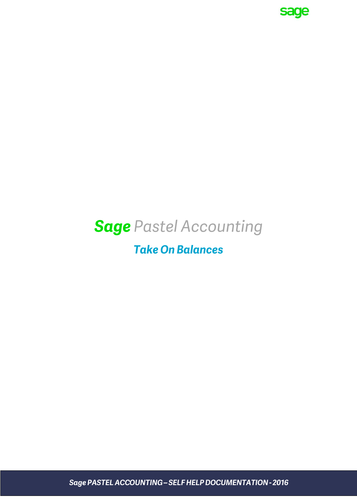

# **Sage Pastel Accounting**

# **Take On Balances**

Sage PASTEL ACCOUNTING - SELF HELP DOCUMENTATION - 2016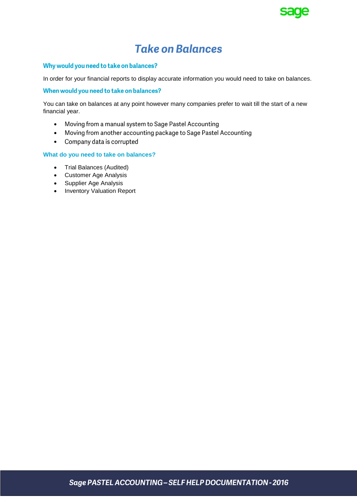

## **Take on Balances**

#### Why would you need to take on balances?

In order for your financial reports to display accurate information you would need to take on balances.

#### When would you need to take on balances?

You can take on balances at any point however many companies prefer to wait till the start of a new financial year.

- Moving from a manual system to Sage Pastel Accounting  $\bullet$
- Moving from another accounting package to Sage Pastel Accounting  $\bullet$
- Company data is corrupted

#### **What do you need to take on balances?**

- Trial Balances (Audited)
- Customer Age Analysis
- Supplier Age Analysis
- Inventory Valuation Report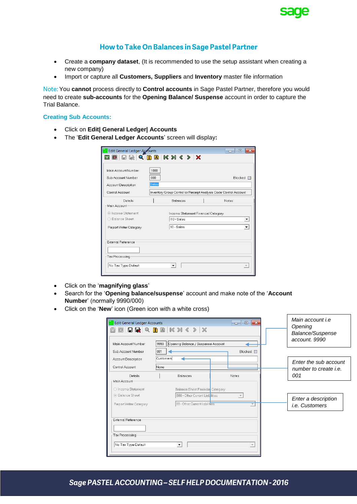

### How to Take On Balances in Sage Pastel Partner

- Create a **company dataset**, (It is recommended to use the setup assistant when creating a new company)
- Import or capture all **Customers, Suppliers** and **Inventory** master file information

You **cannot** process directly to **Control accounts** in Sage Pastel Partner, therefore you would need to create **sub-accounts** for the **Opening Balance/ Suspense** account in order to capture the Trial Balance.

#### **Creating Sub Accounts:**

- Click on **Edit| General Ledger| Accounts**
- The '**Edit General Ledger Accounts**' screen will display**:**

| Edit General Ledger Accounts                |                                                                  | $\overline{\phantom{a}}$ $\overline{\phantom{a}}$ |
|---------------------------------------------|------------------------------------------------------------------|---------------------------------------------------|
|                                             |                                                                  |                                                   |
| Main Account Number                         | 1000                                                             |                                                   |
| Sub Account Number<br>Account Description   | nnn<br>Sales                                                     | Blocked                                           |
| Control Account                             | Inventory Group Control or Receipt Analysis Code Control Account |                                                   |
| Details<br>Main Account-                    | <b>Balances</b>                                                  | <b>Notes</b>                                      |
| lncome Statement<br>◯ Balance Sheet         | Income Statement Financial Category<br>110 - Sales               |                                                   |
| Report Writer Category                      | 10 - Sales                                                       |                                                   |
| <b>External Reference</b><br>Tax Processing |                                                                  |                                                   |
| No Tax Type Default                         |                                                                  |                                                   |

- Click on the '**magnifying glass**'
- Search for the '**Opening balance/suspense**' account and make note of the '**Account Number**' (normally 9990/000)
- Click on the '**New**' icon (Green icon with a white cross)

| Main Account Number<br>Sub Account Number | 9990<br>Opening Balance / Suspense Account<br>001 | Blocked <b>n</b> |                                                       |
|-------------------------------------------|---------------------------------------------------|------------------|-------------------------------------------------------|
| Account Description<br>Control Account    | Customers<br>None                                 |                  | Enter the sub account<br>number to create <i>i.e.</i> |
| <b>Details</b><br>Main Account-           | <b>Balances</b>                                   | Notes            | 001                                                   |
| ○ Income Statement                        | Balance Sheet Financia Category                   |                  |                                                       |
| <b>Balance Sheet</b>                      | B80 - Other Current Liabilities                   |                  | Enter a description                                   |
| Report Writer Category                    | 88 - Other Current liabilities                    |                  | <i>i.e.</i> Customers                                 |
| External Reference                        |                                                   |                  |                                                       |
|                                           |                                                   |                  |                                                       |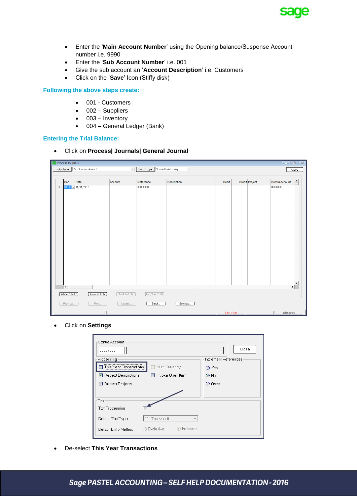

- Enter the '**Main Account Number**' using the Opening balance/Suspense Account number i.e. 9990
- Enter the '**Sub Account Number**' i.e. 001
- Give the sub account an '**Account Description**' i.e. Customers
- Click on the '**Save**' Icon (Stiffy disk)

**Following the above steps create:**

- 001 Customers
- 002 Suppliers
- $\bullet$  003 Inventory
- 004 General Ledger (Bank)

#### **Entering the Trial Balance:**

Click on **Process| Journals| General Journal**

| <b>Process Journals</b>                                                   |                               |                          |           |                | $\begin{array}{c c c c c} \hline \textbf{a} & \textbf{b} & \textbf{c} \end{array}$ |  |
|---------------------------------------------------------------------------|-------------------------------|--------------------------|-----------|----------------|------------------------------------------------------------------------------------|--|
| Entry Type   05 - General Journal<br>$\overline{ }$                       | Batch Type Normal batch entry | $\overline{\phantom{a}}$ |           |                | Close                                                                              |  |
|                                                                           |                               |                          |           |                |                                                                                    |  |
| Per<br>Date<br>Account                                                    | Reference                     | <b>Description</b>       | Debit     | Credit Project | $\triangleq$<br>Contra Account                                                     |  |
| $01 - 0$ $\sqrt{ }$ 31/01/2015<br>$\mathbf{1}$                            | 00000000                      |                          |           |                | 0000/000                                                                           |  |
|                                                                           |                               |                          |           |                |                                                                                    |  |
|                                                                           |                               |                          |           |                |                                                                                    |  |
|                                                                           |                               |                          |           |                |                                                                                    |  |
|                                                                           |                               |                          |           |                |                                                                                    |  |
|                                                                           |                               |                          |           |                |                                                                                    |  |
|                                                                           |                               |                          |           |                |                                                                                    |  |
|                                                                           |                               |                          |           |                |                                                                                    |  |
|                                                                           |                               |                          |           |                |                                                                                    |  |
|                                                                           |                               |                          |           |                |                                                                                    |  |
|                                                                           |                               |                          |           |                |                                                                                    |  |
|                                                                           |                               |                          |           |                |                                                                                    |  |
|                                                                           |                               |                          |           |                |                                                                                    |  |
|                                                                           |                               |                          |           |                |                                                                                    |  |
|                                                                           |                               |                          |           |                |                                                                                    |  |
|                                                                           |                               |                          |           |                |                                                                                    |  |
| $\vert \cdot \vert$                                                       |                               |                          |           |                | ▸ [                                                                                |  |
| Delete <ctrl-d><br/>Insert <ctrl-i><br/>Match <f3></f3></ctrl-i></ctrl-d> | Inc / Exc <f8></f8>           |                          |           |                |                                                                                    |  |
| Preview.<br>Print.<br>Update.                                             | Batch.                        | Settings                 |           |                |                                                                                    |  |
|                                                                           |                               |                          | Last Year |                | In balance                                                                         |  |

Click on **Settings**

| Contra Account-<br>0000/000<br>Processing<br>This Year Transactions<br>Repeat Descriptions<br>Repeat Projects | Multi-Currency<br>Invoke Open Item          | Close<br>Increment References<br>O Yes<br>$\odot$ No<br>O Once |
|---------------------------------------------------------------------------------------------------------------|---------------------------------------------|----------------------------------------------------------------|
| Tax∙<br>Tax Processing<br>Default Tax Type                                                                    | 00 - Tax type 0<br>$\overline{\phantom{a}}$ |                                                                |
| Default Entry Method                                                                                          | inclusive<br>○ Exclusive                    |                                                                |

De-select **This Year Transactions**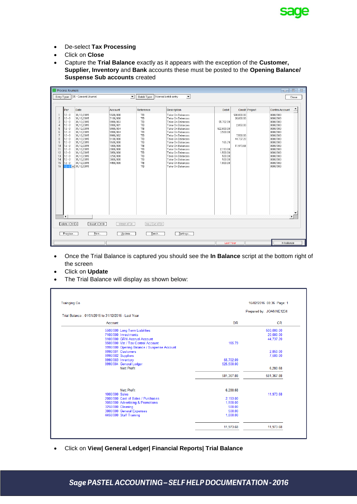

- De-select **Tax Processing**
- Click on **Close**
- Capture the **Trial Balance** exactly as it appears with the exception of the **Customer, Supplier, Inventory** and **Bank** accounts these must be posted to the **Opening Balance/ Suspense Sub accounts** created

|                                                                                                                                             | <b>Process Journals</b>                                                                                                                                         |                                                                                                                                                                                                   |                                                                                                                                                                     |                                                                                         |                                                                                                                                                                                                                                                                                        |                                                                                          |                                                                                             | $\Sigma$<br>$\Box$<br>--                                                                                                                                                                       |
|---------------------------------------------------------------------------------------------------------------------------------------------|-----------------------------------------------------------------------------------------------------------------------------------------------------------------|---------------------------------------------------------------------------------------------------------------------------------------------------------------------------------------------------|---------------------------------------------------------------------------------------------------------------------------------------------------------------------|-----------------------------------------------------------------------------------------|----------------------------------------------------------------------------------------------------------------------------------------------------------------------------------------------------------------------------------------------------------------------------------------|------------------------------------------------------------------------------------------|---------------------------------------------------------------------------------------------|------------------------------------------------------------------------------------------------------------------------------------------------------------------------------------------------|
|                                                                                                                                             | Entry Type                                                                                                                                                      | 05 - General Journal                                                                                                                                                                              | $\blacktriangledown$                                                                                                                                                | Batch Type                                                                              | Normal batch entry<br>$\blacktriangledown$                                                                                                                                                                                                                                             |                                                                                          |                                                                                             | Close                                                                                                                                                                                          |
| $\mathbf{1}$<br>$\overline{\mathbf{c}}$<br>$\overline{3}$<br>$\overline{4}$<br>5<br>6<br>7<br>$\boldsymbol{8}$<br>9<br>10<br>11<br>12<br>13 | Per<br>$12 - 0$<br>$12 - 0$<br>$12 - 0$<br>$12 - 0$<br>$12 - 0$<br>$12 - 0$<br>$12 - 0$<br>$12 - 0$<br>$12 - 0$<br>$12 - 0$<br>$12 - 0$<br>$12 - 0$<br>$12 - 0$ | <b>Date</b><br>31/12/2015<br>31/12/2015<br>31/12/2015<br>31/12/2015<br>31/12/2015<br>31/12/2015<br>31/12/2015<br>31/12/2015<br>31/12/2015<br>31/12/2015<br>31/12/2015<br>31/12/2015<br>31/12/2015 | Account<br>5500/000<br>7100/000<br>9990/003<br>9990/001<br>9990/004<br>9990/004<br>9990/002<br>9100/000<br>9500/000<br>1000/000<br>2000/000<br>3050/000<br>3250/000 | Reference<br>TB<br>TB<br>TB<br>TB<br>TB<br>TB<br>TB<br>TB<br>TB<br>TB<br>TB<br>TB<br>TB | <b>Description</b><br>Take On Balances<br>Take On Balances<br>Take On Balances<br>Take On Balances<br>Take On Balances<br>Take On Balances<br>Take On Balances<br>Take On Balances<br>Take On Balances<br>Take On Balances<br>Take On Balances<br>Take On Balances<br>Take On Balances | Debit<br>55,702.09<br>522,000.00<br>3,500.00<br>165.79<br>2.193.00<br>1,500.00<br>500.00 | Credit Project<br>500.000.00<br>20,000.00<br>2.850.00<br>7,500.00<br>44.737.20<br>11.973.68 | $\blacktriangle$<br>Contra Account<br>0000/000<br>0000/000<br>0000/000<br>0000/000<br>0000/000<br>0000/000<br>0000/000<br>0000/000<br>0000/000<br>0000/000<br>0000/000<br>0000/000<br>0000/000 |
| 14<br>15<br>16                                                                                                                              | $12 - 0$<br>$12 - 0$<br>$\blacktriangleleft$<br>Delete <ctrl-d></ctrl-d>                                                                                        | 31/12/2015<br>31/12/2015<br>$2 - 0$ $\blacktriangleright$ 31/12/2015<br>Insert <ctrl-l></ctrl-l>                                                                                                  | 3800/000<br>4450/000<br>Match <f3></f3>                                                                                                                             | <b>TB</b><br>TB<br>TB<br>Inc / Exc <f8></f8>                                            | Take On Balances<br>Take On Balances<br>Take On Balances                                                                                                                                                                                                                               | 500.00<br>1,000.00                                                                       |                                                                                             | 0000/000<br>0000/000<br>0000/000<br>$\blacktriangledown$<br>▸│                                                                                                                                 |
|                                                                                                                                             | Preview                                                                                                                                                         | Print.                                                                                                                                                                                            | Update                                                                                                                                                              | Batch.                                                                                  | Settings                                                                                                                                                                                                                                                                               |                                                                                          |                                                                                             |                                                                                                                                                                                                |
|                                                                                                                                             |                                                                                                                                                                 |                                                                                                                                                                                                   |                                                                                                                                                                     |                                                                                         |                                                                                                                                                                                                                                                                                        | Last Year                                                                                |                                                                                             | In balance                                                                                                                                                                                     |

- Once the Trial Balance is captured you should see the **In Balance** script at the bottom right of the screen
- Click on **Update**
- The Trial Balance will display as shown below:

| <b>Trainging Co</b> |                                                     |            | 16/02/2016 08:36 Page: 1 |
|---------------------|-----------------------------------------------------|------------|--------------------------|
|                     |                                                     |            | Prepared by: JOANNE1234  |
|                     | Trial Balance: 01/01/2015 to 31/12/2015 - Last Year |            |                          |
|                     | Account                                             | <b>DR</b>  | CR                       |
|                     | 5500/000 Long Term Liabilities                      |            | 500,000.00               |
|                     | 7100/000 Investments                                |            | 20,000.00                |
|                     | 9100/000 GRN Accrual Account                        |            | 44,737.20                |
|                     | 9500/000 Vat / Tax Control Account                  | 165.79     |                          |
|                     | 9990/000 Opening Balance / Suspense Account         |            |                          |
|                     | 9990/001 Customers                                  |            | 2.850.00                 |
|                     | 9990/002 Suppliers                                  |            | 7,500.00                 |
|                     | 9990/003 Inventory                                  | 55.702.09  |                          |
|                     | 9990/004 General Ledger                             | 525,500.00 |                          |
|                     | <b>Nett Profit</b>                                  |            | 6,280.68                 |
|                     |                                                     | 581,367.88 | 581,367.88               |
|                     | <b>Nett Profit</b>                                  | 6.280.68   |                          |
|                     | 1000/000 Sales                                      |            | 11.973.68                |
|                     | 2000/000 Cost of Sales / Purchases                  | 2.193.00   |                          |
|                     | 3050/000 Advertising & Promotions                   | 1.500.00   |                          |
|                     | 3250/000 Cleaning                                   | 500.00     |                          |
|                     | 3800/000 General Expenses                           | 500.00     |                          |
|                     | 4450/000 Staff Training                             | 1.000.00   |                          |
|                     |                                                     | 11.973.68  | 11.973.68                |

Click on **View| General Ledger| Financial Reports| Trial Balance**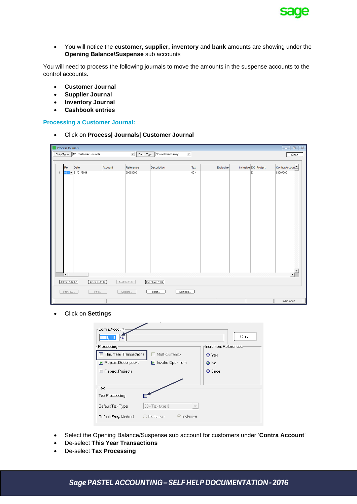

 You will notice the **customer, supplier, inventory** and **bank** amounts are showing under the **Opening Balance/Suspense** sub accounts

You will need to process the following journals to move the amounts in the suspense accounts to the control accounts.

- **Customer Journal**
- **Supplier Journal**
- **Inventory Journal**
- **Cashbook entries**

#### **Processing a Customer Journal:**

Click on **Process| Journals| Customer Journal**

|                | $\begin{array}{c c c c c c} \hline \multicolumn{3}{c }{\mathbf{c}} & \multicolumn{3}{c }{\mathbf{c}} & \multicolumn{3}{c }{\mathbf{c}} & \multicolumn{3}{c }{\mathbf{c}} & \multicolumn{3}{c }{\mathbf{c}} & \multicolumn{3}{c }{\mathbf{c}} & \multicolumn{3}{c }{\mathbf{c}} & \multicolumn{3}{c }{\mathbf{c}} & \multicolumn{3}{c }{\mathbf{c}} & \multicolumn{3}{c }{\mathbf{c}} & \multicolumn{3}{c }{\mathbf{c}} & \multicolumn{3}{c }{\mathbf$<br><b>Process Journals</b> |                                     |         |                     |                                                 |        |           |                      |   |               |
|----------------|----------------------------------------------------------------------------------------------------------------------------------------------------------------------------------------------------------------------------------------------------------------------------------------------------------------------------------------------------------------------------------------------------------------------------------------------------------------------------------|-------------------------------------|---------|---------------------|-------------------------------------------------|--------|-----------|----------------------|---|---------------|
|                |                                                                                                                                                                                                                                                                                                                                                                                                                                                                                  | Entry Type   12 - Customer Journals |         | $\vert \cdot \vert$ | $\overline{ }$<br>Batch Type Normal batch entry |        |           |                      |   | Close         |
|                |                                                                                                                                                                                                                                                                                                                                                                                                                                                                                  |                                     |         |                     |                                                 |        |           |                      |   |               |
|                | Per                                                                                                                                                                                                                                                                                                                                                                                                                                                                              | Date                                | Account | Reference           | Description                                     | Tax    | Exclusive | Inclusive DC Project |   | Contra Accoun |
| $\overline{1}$ |                                                                                                                                                                                                                                                                                                                                                                                                                                                                                  | $01 - 31/01/2016$                   |         | 00000000            |                                                 | $00 -$ |           |                      | D | 0000/000      |
|                |                                                                                                                                                                                                                                                                                                                                                                                                                                                                                  |                                     |         |                     |                                                 |        |           |                      |   |               |
|                |                                                                                                                                                                                                                                                                                                                                                                                                                                                                                  |                                     |         |                     |                                                 |        |           |                      |   |               |
|                |                                                                                                                                                                                                                                                                                                                                                                                                                                                                                  |                                     |         |                     |                                                 |        |           |                      |   |               |
|                |                                                                                                                                                                                                                                                                                                                                                                                                                                                                                  |                                     |         |                     |                                                 |        |           |                      |   |               |
|                |                                                                                                                                                                                                                                                                                                                                                                                                                                                                                  |                                     |         |                     |                                                 |        |           |                      |   |               |
|                |                                                                                                                                                                                                                                                                                                                                                                                                                                                                                  |                                     |         |                     |                                                 |        |           |                      |   |               |
|                |                                                                                                                                                                                                                                                                                                                                                                                                                                                                                  |                                     |         |                     |                                                 |        |           |                      |   |               |
|                |                                                                                                                                                                                                                                                                                                                                                                                                                                                                                  |                                     |         |                     |                                                 |        |           |                      |   |               |
|                |                                                                                                                                                                                                                                                                                                                                                                                                                                                                                  |                                     |         |                     |                                                 |        |           |                      |   |               |
|                |                                                                                                                                                                                                                                                                                                                                                                                                                                                                                  |                                     |         |                     |                                                 |        |           |                      |   |               |
|                |                                                                                                                                                                                                                                                                                                                                                                                                                                                                                  |                                     |         |                     |                                                 |        |           |                      |   |               |
|                |                                                                                                                                                                                                                                                                                                                                                                                                                                                                                  |                                     |         |                     |                                                 |        |           |                      |   |               |
|                |                                                                                                                                                                                                                                                                                                                                                                                                                                                                                  |                                     |         |                     |                                                 |        |           |                      |   |               |
|                |                                                                                                                                                                                                                                                                                                                                                                                                                                                                                  |                                     |         |                     |                                                 |        |           |                      |   |               |
|                |                                                                                                                                                                                                                                                                                                                                                                                                                                                                                  |                                     |         |                     |                                                 |        |           |                      |   |               |
|                | $\left  \cdot \right $                                                                                                                                                                                                                                                                                                                                                                                                                                                           |                                     |         |                     |                                                 |        |           |                      |   | ٠ſ            |
|                | Delete <ctrl-d></ctrl-d>                                                                                                                                                                                                                                                                                                                                                                                                                                                         | Insert <ctrl-i></ctrl-i>            |         | Match <f3></f3>     | [lnc / Exc <b>F8</b>                            |        |           |                      |   |               |
|                | Preview                                                                                                                                                                                                                                                                                                                                                                                                                                                                          | Print.                              |         | Update              | Settings<br>Batch                               |        |           |                      |   |               |
|                |                                                                                                                                                                                                                                                                                                                                                                                                                                                                                  |                                     |         |                     |                                                 |        |           |                      |   | In balance    |

Click on **Settings**

| Contra Account-             |                          | Close                |
|-----------------------------|--------------------------|----------------------|
| 9990/001<br>Q<br>Processing |                          | Increment References |
| This Year Transactions      | Multi-Currency           | ⊙ Yes                |
| Repeat Descriptions         | Invoke Open Item         | $\odot$ No           |
| Repeat Projects             |                          | $\bigcirc$ Once      |
|                             |                          |                      |
| Tax                         |                          |                      |
| Tax Processing              |                          |                      |
| Default Tax Type            | 00 - Tax type 0          |                      |
| Default Entry Method        | ⊙ Inclusive<br>Exclusive |                      |

- Select the Opening Balance/Suspense sub account for customers under '**Contra Account**'
- De-select **This Year Transactions**
- De-select **Tax Processing**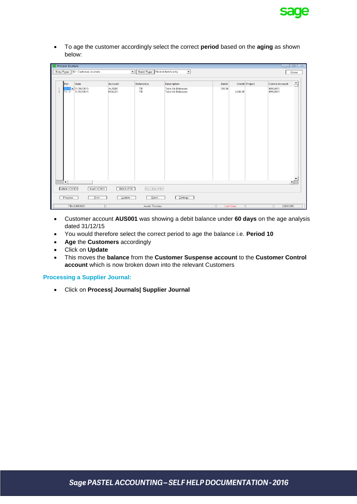

 To age the customer accordingly select the correct **period** based on the **aging** as shown below:

|                | <b>Process Journals</b><br>$\begin{array}{c c c c c c} \hline \multicolumn{3}{c }{\textbf{I}} & \multicolumn{3}{c }{\textbf{I}} & \multicolumn{3}{c }{\textbf{II}} & \multicolumn{3}{c }{\textbf{III}} & \multicolumn{3}{c }{\textbf{III}} & \multicolumn{3}{c }{\textbf{III}} & \multicolumn{3}{c }{\textbf{III}} & \multicolumn{3}{c }{\textbf{III}} & \multicolumn{3}{c }{\textbf{III}} & \multicolumn{3}{c }{\textbf{III}} & \multicolumn{3}{c }{\textbf{III}} & \multicolumn{3}{c }{\textbf$ |                                     |                 |                               |                  |           |                |                                      |  |
|----------------|---------------------------------------------------------------------------------------------------------------------------------------------------------------------------------------------------------------------------------------------------------------------------------------------------------------------------------------------------------------------------------------------------------------------------------------------------------------------------------------------------|-------------------------------------|-----------------|-------------------------------|------------------|-----------|----------------|--------------------------------------|--|
|                |                                                                                                                                                                                                                                                                                                                                                                                                                                                                                                   | Entry Type   12 - Customer Journals | $\overline{ }$  | Batch Type Normal batch entry | $\overline{ }$   |           |                | Close                                |  |
|                |                                                                                                                                                                                                                                                                                                                                                                                                                                                                                                   |                                     |                 |                               |                  |           |                |                                      |  |
|                | Per                                                                                                                                                                                                                                                                                                                                                                                                                                                                                               | Date                                | <b>Account</b>  | Reference                     | Description      | Debit     | Credit Project | ≐<br>Contra Account                  |  |
| $\overline{1}$ |                                                                                                                                                                                                                                                                                                                                                                                                                                                                                                   | $10 - 0 = 31/10/2015$               | AUS001          | TB                            | Take On Balances | 750.00    |                | 9990/001                             |  |
| $\overline{c}$ | $12 - 0$                                                                                                                                                                                                                                                                                                                                                                                                                                                                                          | 31/12/2015                          | <b>ROL001</b>   | TB                            | Take On Balances |           | 3,600.00       | 9990/001                             |  |
|                |                                                                                                                                                                                                                                                                                                                                                                                                                                                                                                   |                                     |                 |                               |                  |           |                |                                      |  |
|                |                                                                                                                                                                                                                                                                                                                                                                                                                                                                                                   |                                     |                 |                               |                  |           |                |                                      |  |
|                |                                                                                                                                                                                                                                                                                                                                                                                                                                                                                                   |                                     |                 |                               |                  |           |                |                                      |  |
|                |                                                                                                                                                                                                                                                                                                                                                                                                                                                                                                   |                                     |                 |                               |                  |           |                |                                      |  |
|                |                                                                                                                                                                                                                                                                                                                                                                                                                                                                                                   |                                     |                 |                               |                  |           |                |                                      |  |
|                |                                                                                                                                                                                                                                                                                                                                                                                                                                                                                                   |                                     |                 |                               |                  |           |                |                                      |  |
|                |                                                                                                                                                                                                                                                                                                                                                                                                                                                                                                   |                                     |                 |                               |                  |           |                |                                      |  |
|                |                                                                                                                                                                                                                                                                                                                                                                                                                                                                                                   |                                     |                 |                               |                  |           |                |                                      |  |
|                |                                                                                                                                                                                                                                                                                                                                                                                                                                                                                                   |                                     |                 |                               |                  |           |                |                                      |  |
|                |                                                                                                                                                                                                                                                                                                                                                                                                                                                                                                   |                                     |                 |                               |                  |           |                |                                      |  |
|                |                                                                                                                                                                                                                                                                                                                                                                                                                                                                                                   |                                     |                 |                               |                  |           |                |                                      |  |
|                |                                                                                                                                                                                                                                                                                                                                                                                                                                                                                                   |                                     |                 |                               |                  |           |                |                                      |  |
|                |                                                                                                                                                                                                                                                                                                                                                                                                                                                                                                   |                                     |                 |                               |                  |           |                |                                      |  |
|                |                                                                                                                                                                                                                                                                                                                                                                                                                                                                                                   |                                     |                 |                               |                  |           |                |                                      |  |
|                |                                                                                                                                                                                                                                                                                                                                                                                                                                                                                                   |                                     |                 |                               |                  |           |                |                                      |  |
|                | $\left  \cdot \right $                                                                                                                                                                                                                                                                                                                                                                                                                                                                            |                                     |                 |                               |                  |           |                | $\blacktriangledown$<br>$\mathbf{E}$ |  |
|                |                                                                                                                                                                                                                                                                                                                                                                                                                                                                                                   |                                     |                 |                               |                  |           |                |                                      |  |
|                | Delete <ctrl-d></ctrl-d>                                                                                                                                                                                                                                                                                                                                                                                                                                                                          | Insert <ctrl-i></ctrl-i>            | Match <f3></f3> | $[Inc/Exc$ <f8></f8>          |                  |           |                |                                      |  |
|                | Preview                                                                                                                                                                                                                                                                                                                                                                                                                                                                                           | Print.                              | Update          | Batch                         | Settings         |           |                |                                      |  |
|                |                                                                                                                                                                                                                                                                                                                                                                                                                                                                                                   | TB=2,850.00C                        |                 | Austin Thomas                 |                  | Last Year |                | 2,850.00C                            |  |

- Customer account **AUS001** was showing a debit balance under **60 days** on the age analysis dated 31/12/15
- You would therefore select the correct period to age the balance i.e. **Period 10**
- **Age** the **Customers** accordingly
- Click on **Update**
- This moves the **balance** from the **Customer Suspense account** to the **Customer Control account** which is now broken down into the relevant Customers

#### **Processing a Supplier Journal:**

Click on **Process| Journals| Supplier Journal**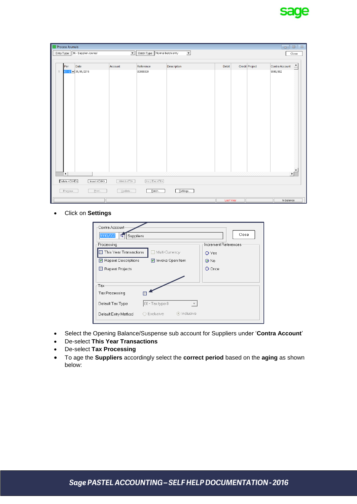

|                | <b>Process Journals</b>  |                                                                                                                          |                          |                               |                          |           |                | $\boldsymbol{\mathbb{Z}}$<br>$\Box$<br>--- |
|----------------|--------------------------|--------------------------------------------------------------------------------------------------------------------------|--------------------------|-------------------------------|--------------------------|-----------|----------------|--------------------------------------------|
|                |                          | Entry Type 16 - Supplier Journal                                                                                         | $\overline{\phantom{a}}$ | Batch Type Normal batch entry | $\overline{\phantom{a}}$ |           |                | Close                                      |
|                | Per                      | Date                                                                                                                     | Account                  | Reference                     | Description              | Debit     | Credit Project | $\blacktriangle$<br>Contra Account         |
| $\overline{1}$ |                          | $01 - 0$ $\bullet$ 31/01/2015                                                                                            |                          | 00000000                      |                          |           |                | 9990/002                                   |
|                | $\left  \cdot \right $   |                                                                                                                          |                          |                               |                          |           |                | $\blacktriangledown$<br>۶ſ                 |
|                | Delete <ctrl-d></ctrl-d> | Insert <ctrl-d< td=""><td>Match <f3></f3></td><td>Inc / Exc <f8></f8></td><td></td><td></td><td></td><td></td></ctrl-d<> | Match <f3></f3>          | Inc / Exc <f8></f8>           |                          |           |                |                                            |
|                | Preview.                 | Print.                                                                                                                   | Update.                  | Batch                         | Settings                 |           |                |                                            |
|                |                          |                                                                                                                          |                          |                               |                          | Last Year |                | In balance                                 |

Click on **Settings**

| Contra Account-            |                                             |                      |
|----------------------------|---------------------------------------------|----------------------|
| 9990/002<br>Suppliers<br>⊄ | Close                                       |                      |
| Processing                 |                                             | Increment References |
| This Year Transactions     | Multi-Currency                              | O Yes                |
| Repeat Descriptions        | Invoke Open Item                            | $\odot$ No           |
| Repeat Projects            |                                             | O Once               |
|                            |                                             |                      |
| Tax                        |                                             |                      |
| Tax Processing             |                                             |                      |
| Default Tax Type           | 00 - Tax type 0<br>$\overline{\phantom{a}}$ |                      |
| Default Entry Method       | ⊙ Inclusive<br>Exclusive                    |                      |

- Select the Opening Balance/Suspense sub account for Suppliers under '**Contra Account**'
- De-select **This Year Transactions**
- De-select **Tax Processing**
- To age the **Suppliers** accordingly select the **correct period** based on the **aging** as shown below: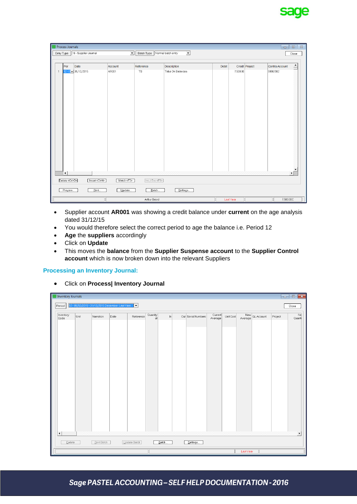

|                | <b>Process Journals</b>  |                                    |                      |                       |                                      |           |                | $\Sigma$<br>$\Box$<br>$\Box$ |
|----------------|--------------------------|------------------------------------|----------------------|-----------------------|--------------------------------------|-----------|----------------|------------------------------|
|                |                          | Entry Type   16 - Supplier Journal | $\blacktriangledown$ | Batch Type            | Normal batch entry<br>$\overline{ }$ |           |                | Close                        |
|                | Per                      | Date                               | Account              | Reference             | Description                          | Debit     | Credit Project | ≐<br>Contra Account          |
| $\overline{1}$ |                          | $12 - 0 = 31/12/2015$              | AR001                | TB                    | Take On Balances                     | 7,500.00  |                | 9990/002                     |
|                |                          |                                    |                      |                       |                                      |           |                |                              |
|                |                          |                                    |                      |                       |                                      |           |                |                              |
|                |                          |                                    |                      |                       |                                      |           |                |                              |
|                |                          |                                    |                      |                       |                                      |           |                |                              |
|                |                          |                                    |                      |                       |                                      |           |                |                              |
|                |                          |                                    |                      |                       |                                      |           |                |                              |
|                |                          |                                    |                      |                       |                                      |           |                |                              |
|                |                          |                                    |                      |                       |                                      |           |                |                              |
|                |                          |                                    |                      |                       |                                      |           |                |                              |
|                |                          |                                    |                      |                       |                                      |           |                |                              |
|                |                          |                                    |                      |                       |                                      |           |                |                              |
|                |                          |                                    |                      |                       |                                      |           |                |                              |
|                |                          |                                    |                      |                       |                                      |           |                |                              |
|                |                          |                                    |                      |                       |                                      |           |                | $\blacktriangledown$         |
|                | $\vert \cdot \vert$      |                                    |                      |                       |                                      |           |                | ۰ſ                           |
|                | Delete <ctrl-d></ctrl-d> | [Insert <ctrl-i>]</ctrl-i>         | Match <f3></f3>      | [Inc / Exc <f8>]</f8> |                                      |           |                |                              |
|                | Preview                  | Print                              | Update               | Batch                 | Settings                             |           |                |                              |
|                |                          |                                    |                      | Arthur Brand          |                                      | Last Year |                | 7,500.00C                    |

- Supplier account **AR001** was showing a credit balance under **current** on the age analysis dated 31/12/15
- You would therefore select the correct period to age the balance i.e. Period 12
- **Age** the **suppliers** accordingly
- Click on **Update**
- This moves the **balance** from the **Supplier Suspense account** to the **Supplier Control account** which is now broken down into the relevant Suppliers

#### **Processing an Inventory Journal:**

Click on **Process| Inventory Journal**

| Inventory Journals             |      |             |                                             |              |                |       |                    |                    |           |                |         | $\begin{array}{c c c c c c} \hline \multicolumn{3}{c }{\multicolumn{3}{c }{\multicolumn{3}{c }{\multicolumn{3}{c }{\multicolumn{3}{c }{\multicolumn{3}{c }{\multicolumn{3}{c }{\multicolumn{3}{c }{\multicolumn{3}{c }{\multicolumn{3}{c }{\multicolumn{3}{c }{\multicolumn{3}{c }{\multicolumn{3}{c }{\multicolumn{3}{c }{\multicolumn{3}{c }{\multicolumn{3}{c }{\multicolumn{3}{c }{\multicolumn{3}{c }{\multicolumn{3}{c }{\multicolumn{3}{c }{$ |
|--------------------------------|------|-------------|---------------------------------------------|--------------|----------------|-------|--------------------|--------------------|-----------|----------------|---------|------------------------------------------------------------------------------------------------------------------------------------------------------------------------------------------------------------------------------------------------------------------------------------------------------------------------------------------------------------------------------------------------------------------------------------------------------|
| Period                         |      |             | 12-01/12/2015-31/12/2015 December Last Year | ⊢            |                |       |                    |                    |           |                |         | Close                                                                                                                                                                                                                                                                                                                                                                                                                                                |
| Inventory<br>Code              | Unit | Narration   | Date                                        | Reference    | Quantity<br>at | $\ln$ | Out Serial Numbers | Current<br>Average | Unit Cost | New GL Account | Project | $\overline{\mathsf{N}\mathsf{d}}$<br>Quanti                                                                                                                                                                                                                                                                                                                                                                                                          |
| $\blacktriangleleft$<br>Delete |      | Print Batch |                                             | Update Batch |                | Batch | Settings           |                    |           | Last Year      |         | $\blacktriangleright$                                                                                                                                                                                                                                                                                                                                                                                                                                |

### Sage PASTEL ACCOUNTING - SELF HELP DOCUMENTATION - 2016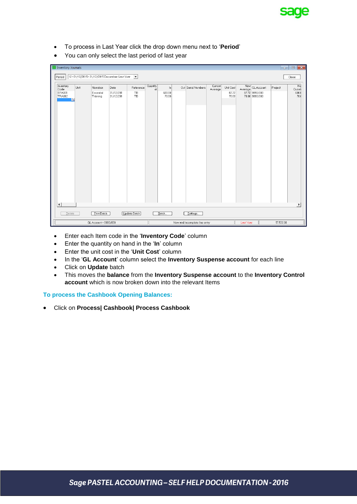

- To process in Last Year click the drop down menu next to '**Period**'
- You can only select the last period of last year

| <b>Inventory Journals</b>                                  |      |                       |                                               |              |          |                 |                               |         |                |           |                                  | <b>Form</b> | $\mathbf{x}$<br>$\Box$ |
|------------------------------------------------------------|------|-----------------------|-----------------------------------------------|--------------|----------|-----------------|-------------------------------|---------|----------------|-----------|----------------------------------|-------------|------------------------|
| Period                                                     |      |                       | 12-01/12/2015-31/12/2015 December Last Year ▼ |              |          |                 |                               |         |                |           |                                  |             | Close                  |
| Inventory                                                  | Unit | Narration             | Date                                          | Reference    | Quantity | $\ln$           | Out Serial Numbers            | Current | Unit Cost      | New       | GL Account                       | Project     | $N\varepsilon$         |
| Code<br>EPA001<br><b>TRA002</b><br>$\overline{\mathbf{a}}$ |      | Essential<br>Training | 31/12/201<br>31/12/201                        | TB<br>TB     | at       | 600.00<br>70.00 |                               | Average | 87.72<br>70.00 | Average   | 87.72 9990/003<br>70.00 9990/003 |             | Quanti<br>600.<br>70.0 |
|                                                            |      |                       |                                               |              |          |                 |                               |         |                |           |                                  |             |                        |
| $\blacktriangleleft$                                       |      |                       |                                               |              |          |                 |                               |         |                |           |                                  |             | k                      |
| Delete                                                     |      | Print Batch           |                                               | Update Batch |          | Batch           | Settings                      |         |                |           |                                  |             |                        |
|                                                            |      | GL Account = 0000/000 |                                               |              |          |                 | New and incomplete line entry |         |                | Last Year |                                  | 57,532.00   |                        |

- Enter each Item code in the '**Inventory Code**' column
- Enter the quantity on hand in the '**In**' column
- Enter the unit cost in the '**Unit Cost**' column
- In the '**GL Account**' column select the **Inventory Suspense account** for each line
- Click on **Update** batch
- This moves the **balance** from the **Inventory Suspense account** to the **Inventory Control account** which is now broken down into the relevant Items

**To process the Cashbook Opening Balances:**

Click on **Process| Cashbook| Process Cashbook**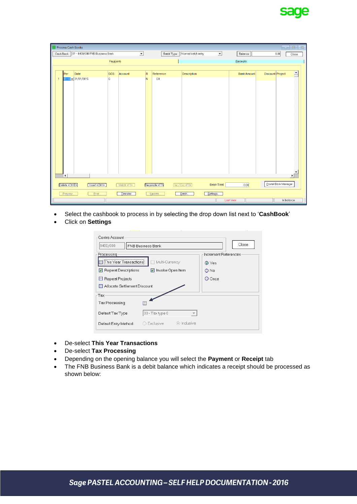

|                | <b>Process Cash Books</b> |                                                                                                                                                                                                                   |          |                          |           |                     |                        |                          |                    | --                  | 回路                       |
|----------------|---------------------------|-------------------------------------------------------------------------------------------------------------------------------------------------------------------------------------------------------------------|----------|--------------------------|-----------|---------------------|------------------------|--------------------------|--------------------|---------------------|--------------------------|
|                |                           | Cash Book   01 - 8400/000 FNB Business Bank                                                                                                                                                                       |          | $\overline{\phantom{a}}$ |           | Batch Type          | Normal batch entry     | $\overline{\phantom{a}}$ | Balance            | 0.00                | Close                    |
|                |                           |                                                                                                                                                                                                                   | Payments |                          |           |                     |                        |                          | Receipts           |                     |                          |
|                |                           |                                                                                                                                                                                                                   |          |                          |           |                     |                        |                          |                    |                     |                          |
|                | Per                       | Date                                                                                                                                                                                                              | GCS      | Account                  | $\vert$ R | Reference           | <b>Description</b>     |                          | <b>Bank Amount</b> | Discount Project    | F                        |
| $\overline{1}$ |                           | $01 - 0 - 31/01/2015$                                                                                                                                                                                             | G        |                          | N         | Q0                  |                        |                          |                    |                     |                          |
|                |                           |                                                                                                                                                                                                                   |          |                          |           |                     |                        |                          |                    |                     |                          |
|                |                           |                                                                                                                                                                                                                   |          |                          |           |                     |                        |                          |                    |                     |                          |
|                |                           |                                                                                                                                                                                                                   |          |                          |           |                     |                        |                          |                    |                     |                          |
|                |                           |                                                                                                                                                                                                                   |          |                          |           |                     |                        |                          |                    |                     |                          |
|                |                           |                                                                                                                                                                                                                   |          |                          |           |                     |                        |                          |                    |                     |                          |
|                |                           |                                                                                                                                                                                                                   |          |                          |           |                     |                        |                          |                    |                     |                          |
|                |                           |                                                                                                                                                                                                                   |          |                          |           |                     |                        |                          |                    |                     |                          |
|                |                           |                                                                                                                                                                                                                   |          |                          |           |                     |                        |                          |                    |                     |                          |
|                |                           |                                                                                                                                                                                                                   |          |                          |           |                     |                        |                          |                    |                     |                          |
|                |                           |                                                                                                                                                                                                                   |          |                          |           |                     |                        |                          |                    |                     |                          |
|                |                           |                                                                                                                                                                                                                   |          |                          |           |                     |                        |                          |                    |                     |                          |
|                |                           |                                                                                                                                                                                                                   |          |                          |           |                     |                        |                          |                    |                     |                          |
|                |                           |                                                                                                                                                                                                                   |          |                          |           |                     |                        |                          |                    |                     |                          |
|                |                           |                                                                                                                                                                                                                   |          |                          |           |                     |                        |                          |                    |                     | $\overline{\phantom{a}}$ |
|                | $\vert \vert$             |                                                                                                                                                                                                                   |          |                          |           |                     |                        |                          |                    |                     | $\blacktriangleright$    |
|                | Delete <ctrl-d></ctrl-d>  | Insert <ctrl-d< td=""><td></td><td>Match <f3></f3></td><td></td><td>Reconcile <f7></f7></td><td>[lnc / Exc <b>F8</b>]</td><td><b>Batch Total</b></td><td>0.00</td><td>Pastel Bank Manager</td><td></td></ctrl-d<> |          | Match <f3></f3>          |           | Reconcile <f7></f7> | [lnc / Exc <b>F8</b> ] | <b>Batch Total</b>       | 0.00               | Pastel Bank Manager |                          |
|                | Preview.                  | Print.                                                                                                                                                                                                            |          | Transfer                 |           | Update.             | Batch                  | Settings                 |                    |                     |                          |
|                |                           |                                                                                                                                                                                                                   |          |                          |           |                     |                        |                          | Last Year          | In balance          |                          |

- Select the cashbook to process in by selecting the drop down list next to '**CashBook**'
- Click on **Settings**

| Contra Account               |                          |                      |
|------------------------------|--------------------------|----------------------|
| 8400/000                     | FNB Business Bank        | Close                |
| Processing                   |                          | Increment References |
| :This Year Transactions      | Multi-Currency           | ⊙ Yes                |
| Repeat Descriptions          | Invoke Open Item         | O No                 |
| Repeat Projects              |                          | O Once               |
| Allocate Settlement Discount |                          |                      |
| -Tax                         |                          |                      |
| Tax Processing               |                          |                      |
| Default Tax Type             | 00 - Tax type 0          |                      |
| Default Entry Method         | ⊙ Inclusive<br>Exclusive |                      |

- De-select **This Year Transactions**
- De-select **Tax Processing**
- Depending on the opening balance you will select the **Payment** or **Receipt** tab
- The FNB Business Bank is a debit balance which indicates a receipt should be processed as shown below: